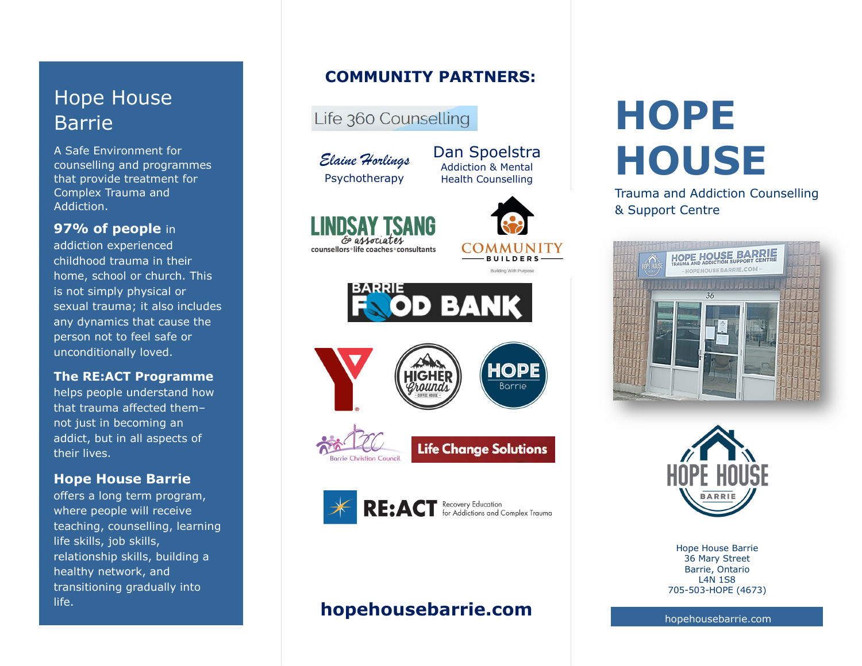# Hope House Barrie

A Safe Environment for counselling and programmes that provide treatment for Complex Trauma and Addiction.

## **97% of people** in

addiction experienced childhood trauma in their home, school or church. This is not simply physical or sexual trauma; it also includes any dynamics that cause the person not to feel safe or unconditionally loved.

### **The RE:ACT Programme**

 helps people understand how that trauma affected them– not just in becoming an addict, but in all aspects of their lives.

### **Hope House Barrie**

 offers a long term program, where people will receive teaching, counselling, learning life skills, job skills, relationship skills, building a healthy network, and transitioning gradually into life.

### **COMMUNITY PARTNERS:**

Life 360 Counselling

*Elaine Horlings*Psychotherapy

E associates counsellors life coaches consultants



Building With Purpose

Dan Spoelstra Addiction & Mental Health Counselling







**Life Change Solutions** 



# **hopehousebarrie.com**

# **HOPE HOUSE**

Trauma and Addiction Counselling& Support Centre





Hope House Barrie 36 Mary Street Barrie, Ontario L4N 1S8 705-503-HOPE (4673)

hopehousebarrie.com